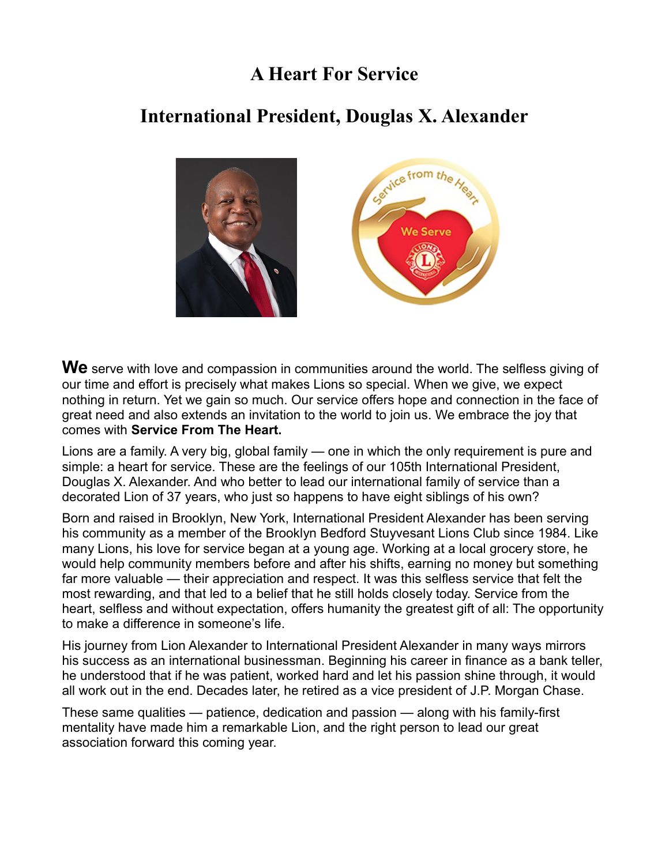# **A Heart For Service**

# **International President, Douglas X. Alexander**



**We** serve with love and compassion in communities around the world. The selfless giving of our time and effort is precisely what makes Lions so special. When we give, we expect nothing in return. Yet we gain so much. Our service offers hope and connection in the face of great need and also extends an invitation to the world to join us. We embrace the joy that comes with **Service From The Heart.** 

Lions are a family. A very big, global family — one in which the only requirement is pure and simple: a heart for service. These are the feelings of our 105th International President, Douglas X. Alexander. And who better to lead our international family of service than a decorated Lion of 37 years, who just so happens to have eight siblings of his own?

Born and raised in Brooklyn, New York, International President Alexander has been serving his community as a member of the Brooklyn Bedford Stuyvesant Lions Club since 1984. Like many Lions, his love for service began at a young age. Working at a local grocery store, he would help community members before and after his shifts, earning no money but something far more valuable — their appreciation and respect. It was this selfless service that felt the most rewarding, and that led to a belief that he still holds closely today. Service from the heart, selfless and without expectation, offers humanity the greatest gift of all: The opportunity to make a difference in someone's life.

His journey from Lion Alexander to International President Alexander in many ways mirrors his success as an international businessman. Beginning his career in finance as a bank teller, he understood that if he was patient, worked hard and let his passion shine through, it would all work out in the end. Decades later, he retired as a vice president of J.P. Morgan Chase.

These same qualities — patience, dedication and passion — along with his family-first mentality have made him a remarkable Lion, and the right person to lead our great association forward this coming year.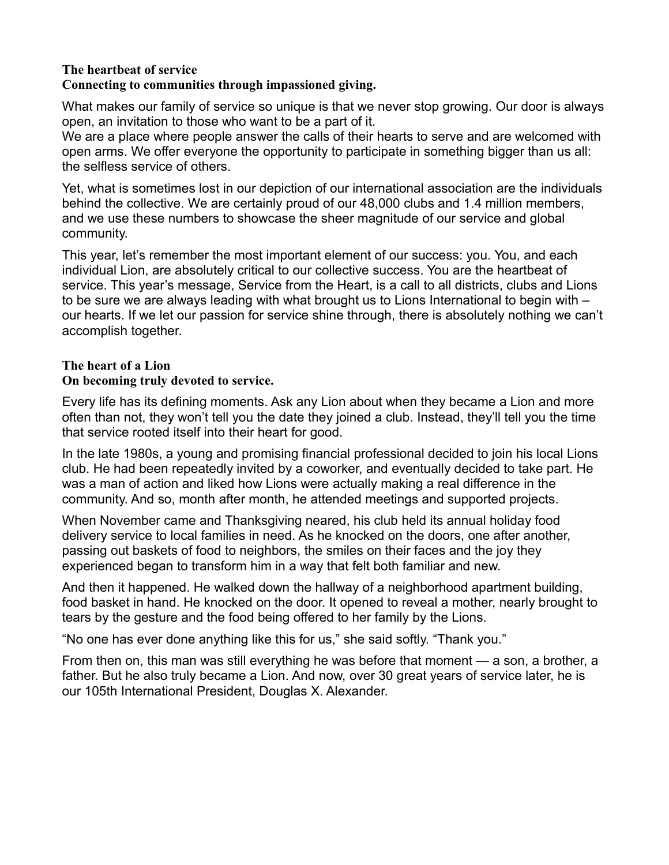# **The heartbeat of service**

## **Connecting to communities through impassioned giving.**

What makes our family of service so unique is that we never stop growing. Our door is always open, an invitation to those who want to be a part of it.

We are a place where people answer the calls of their hearts to serve and are welcomed with open arms. We offer everyone the opportunity to participate in something bigger than us all: the selfless service of others.

Yet, what is sometimes lost in our depiction of our international association are the individuals behind the collective. We are certainly proud of our 48,000 clubs and 1.4 million members, and we use these numbers to showcase the sheer magnitude of our service and global community.

This year, let's remember the most important element of our success: you. You, and each individual Lion, are absolutely critical to our collective success. You are the heartbeat of service. This year's message, Service from the Heart, is a call to all districts, clubs and Lions to be sure we are always leading with what brought us to Lions International to begin with – our hearts. If we let our passion for service shine through, there is absolutely nothing we can't accomplish together.

## **The heart of a Lion**

## **On becoming truly devoted to service.**

Every life has its defining moments. Ask any Lion about when they became a Lion and more often than not, they won't tell you the date they joined a club. Instead, they'll tell you the time that service rooted itself into their heart for good.

In the late 1980s, a young and promising financial professional decided to join his local Lions club. He had been repeatedly invited by a coworker, and eventually decided to take part. He was a man of action and liked how Lions were actually making a real difference in the community. And so, month after month, he attended meetings and supported projects.

When November came and Thanksgiving neared, his club held its annual holiday food delivery service to local families in need. As he knocked on the doors, one after another, passing out baskets of food to neighbors, the smiles on their faces and the joy they experienced began to transform him in a way that felt both familiar and new.

And then it happened. He walked down the hallway of a neighborhood apartment building, food basket in hand. He knocked on the door. It opened to reveal a mother, nearly brought to tears by the gesture and the food being offered to her family by the Lions.

"No one has ever done anything like this for us," she said softly. "Thank you."

From then on, this man was still everything he was before that moment — a son, a brother, a father. But he also truly became a Lion. And now, over 30 great years of service later, he is our 105th International President, Douglas X. Alexander.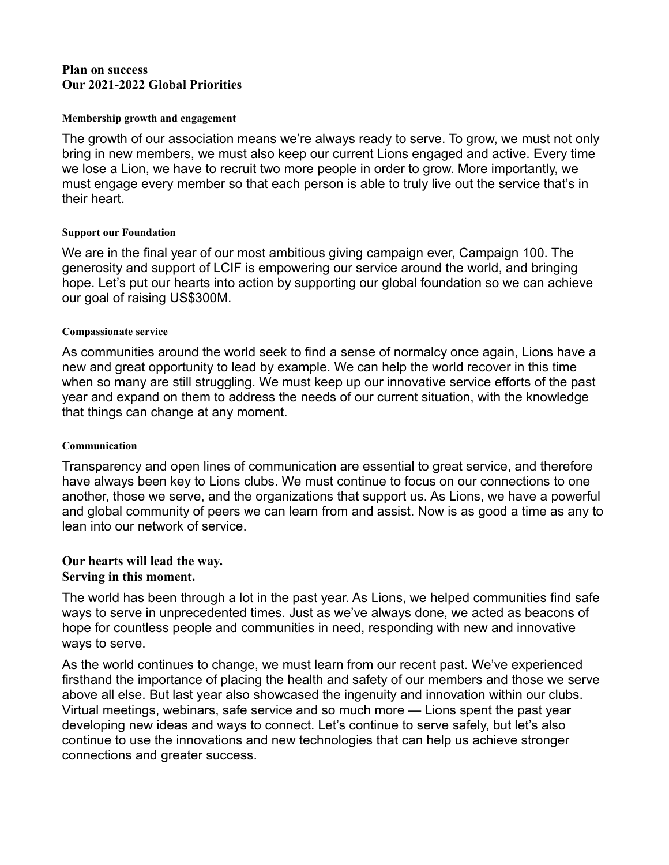### **Plan on success Our 2021-2022 Global Priorities**

#### **Membership growth and engagement**

The growth of our association means we're always ready to serve. To grow, we must not only bring in new members, we must also keep our current Lions engaged and active. Every time we lose a Lion, we have to recruit two more people in order to grow. More importantly, we must engage every member so that each person is able to truly live out the service that's in their heart.

#### **Support our Foundation**

We are in the final year of our most ambitious giving campaign ever, Campaign 100. The generosity and support of LCIF is empowering our service around the world, and bringing hope. Let's put our hearts into action by supporting our global foundation so we can achieve our goal of raising US\$300M.

#### **Compassionate service**

As communities around the world seek to find a sense of normalcy once again, Lions have a new and great opportunity to lead by example. We can help the world recover in this time when so many are still struggling. We must keep up our innovative service efforts of the past year and expand on them to address the needs of our current situation, with the knowledge that things can change at any moment.

#### **Communication**

Transparency and open lines of communication are essential to great service, and therefore have always been key to Lions clubs. We must continue to focus on our connections to one another, those we serve, and the organizations that support us. As Lions, we have a powerful and global community of peers we can learn from and assist. Now is as good a time as any to lean into our network of service.

## **Our hearts will lead the way.**

### **Serving in this moment.**

The world has been through a lot in the past year. As Lions, we helped communities find safe ways to serve in unprecedented times. Just as we've always done, we acted as beacons of hope for countless people and communities in need, responding with new and innovative ways to serve.

As the world continues to change, we must learn from our recent past. We've experienced firsthand the importance of placing the health and safety of our members and those we serve above all else. But last year also showcased the ingenuity and innovation within our clubs. Virtual meetings, webinars, safe service and so much more — Lions spent the past year developing new ideas and ways to connect. Let's continue to serve safely, but let's also continue to use the innovations and new technologies that can help us achieve stronger connections and greater success.